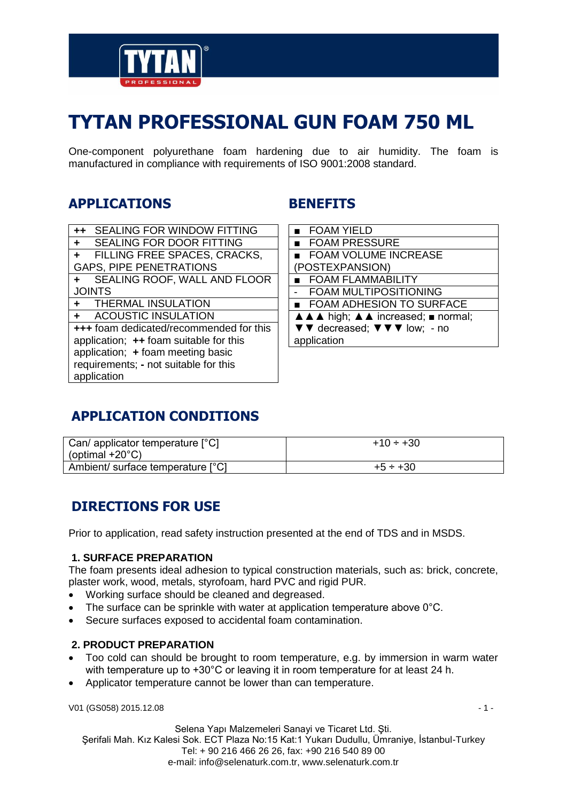

# **TYTAN PROFESSIONAL GUN FOAM 750 ML**

One-component polyurethane foam hardening due to air humidity. The foam is manufactured in compliance with requirements of ISO 9001:2008 standard.

### **APPLICATIONS**

| $++$                                    | <b>SEALING FOR WINDOW FITTING</b> |  |  |
|-----------------------------------------|-----------------------------------|--|--|
| ÷                                       | SEALING FOR DOOR FITTING          |  |  |
| $\ddot{}$                               | FILLING FREE SPACES, CRACKS,      |  |  |
| <b>GAPS, PIPE PENETRATIONS</b>          |                                   |  |  |
| ÷                                       | SEALING ROOF, WALL AND FLOOR      |  |  |
| <b>JOINTS</b>                           |                                   |  |  |
| $+$                                     | <b>THERMAL INSULATION</b>         |  |  |
|                                         | + ACOUSTIC INSULATION             |  |  |
| +++ foam dedicated/recommended for this |                                   |  |  |
| application; ++ foam suitable for this  |                                   |  |  |
| application; + foam meeting basic       |                                   |  |  |
| requirements; - not suitable for this   |                                   |  |  |
| application                             |                                   |  |  |
|                                         |                                   |  |  |

### **BENEFITS**

| ■ FOAM YIELD                       |  |  |
|------------------------------------|--|--|
| <b>EDAM PRESSURE</b>               |  |  |
| <b>EXECUTE INCREASE</b>            |  |  |
| (POSTEXPANSION)                    |  |  |
| <b>EDAM FLAMMABILITY</b>           |  |  |
| <b>FOAM MULTIPOSITIONING</b>       |  |  |
| <b>EDAM ADHESION TO SURFACE</b>    |  |  |
| A A A high; A A increased; normal; |  |  |
| ▼ ▼ decreased; ▼ ▼ ▼ low; - no     |  |  |
| application                        |  |  |

### **APPLICATION CONDITIONS**

| Can/ applicator temperature [°C]<br>(optimal $+20^{\circ}$ C) | $+10 \div +30$ |
|---------------------------------------------------------------|----------------|
| Ambient/ surface temperature [°C]                             | $+5 \div +30$  |

### **DIRECTIONS FOR USE**

Prior to application, read safety instruction presented at the end of TDS and in MSDS.

#### **1. SURFACE PREPARATION**

The foam presents ideal adhesion to typical construction materials, such as: brick, concrete, plaster work, wood, metals, styrofoam, hard PVC and rigid PUR.

- Working surface should be cleaned and degreased.
- The surface can be sprinkle with water at application temperature above 0°C.
- Secure surfaces exposed to accidental foam contamination.

#### **2. PRODUCT PREPARATION**

- Too cold can should be brought to room temperature, e.g. by immersion in warm water with temperature up to +30°C or leaving it in room temperature for at least 24 h.
- Applicator temperature cannot be lower than can temperature.

V01 (GS058) 2015.12.08 - 1 - 2016.12.08 - 1 - 2020 - 2020 - 2020 - 2020 - 2020 - 2020 - 2020 - 2020 - 2020 - 20

Selena Yapı Malzemeleri Sanayi ve Ticaret Ltd. Şti.

Şerifali Mah. Kız Kalesi Sok. ECT Plaza No:15 Kat:1 Yukarı Dudullu, Ümraniye, İstanbul-Turkey Tel: + 90 216 466 26 26, fax: +90 216 540 89 00 e-mail: info@selenaturk.com.tr, www.selenaturk.com.tr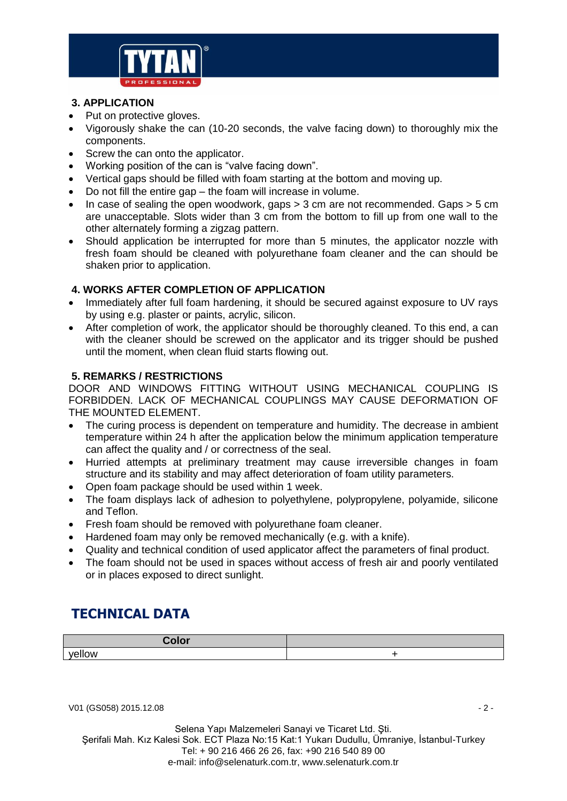

#### **3. APPLICATION**

- Put on protective gloves.
- Vigorously shake the can (10-20 seconds, the valve facing down) to thoroughly mix the components.
- Screw the can onto the applicator.
- Working position of the can is "valve facing down".
- Vertical gaps should be filled with foam starting at the bottom and moving up.
- Do not fill the entire gap the foam will increase in volume.
- In case of sealing the open woodwork, gaps > 3 cm are not recommended. Gaps > 5 cm are unacceptable. Slots wider than 3 cm from the bottom to fill up from one wall to the other alternately forming a zigzag pattern.
- Should application be interrupted for more than 5 minutes, the applicator nozzle with fresh foam should be cleaned with polyurethane foam cleaner and the can should be shaken prior to application.

#### **4. WORKS AFTER COMPLETION OF APPLICATION**

- Immediately after full foam hardening, it should be secured against exposure to UV rays by using e.g. plaster or paints, acrylic, silicon.
- After completion of work, the applicator should be thoroughly cleaned. To this end, a can with the cleaner should be screwed on the applicator and its trigger should be pushed until the moment, when clean fluid starts flowing out.

#### **5. REMARKS / RESTRICTIONS**

DOOR AND WINDOWS FITTING WITHOUT USING MECHANICAL COUPLING IS FORBIDDEN. LACK OF MECHANICAL COUPLINGS MAY CAUSE DEFORMATION OF THE MOUNTED ELEMENT.

- The curing process is dependent on temperature and humidity. The decrease in ambient temperature within 24 h after the application below the minimum application temperature can affect the quality and / or correctness of the seal.
- Hurried attempts at preliminary treatment may cause irreversible changes in foam structure and its stability and may affect deterioration of foam utility parameters.
- Open foam package should be used within 1 week.
- The foam displays lack of adhesion to polyethylene, polypropylene, polyamide, silicone and Teflon.
- Fresh foam should be removed with polyurethane foam cleaner.
- Hardened foam may only be removed mechanically (e.g. with a knife).
- Quality and technical condition of used applicator affect the parameters of final product.
- The foam should not be used in spaces without access of fresh air and poorly ventilated or in places exposed to direct sunlight.

### **TECHNICAL DATA**



V01 (GS058) 2015.12.08 - 2 -

Selena Yapı Malzemeleri Sanayi ve Ticaret Ltd. Şti. Şerifali Mah. Kız Kalesi Sok. ECT Plaza No:15 Kat:1 Yukarı Dudullu, Ümraniye, İstanbul-Turkey Tel: + 90 216 466 26 26, fax: +90 216 540 89 00 e-mail: info@selenaturk.com.tr, www.selenaturk.com.tr